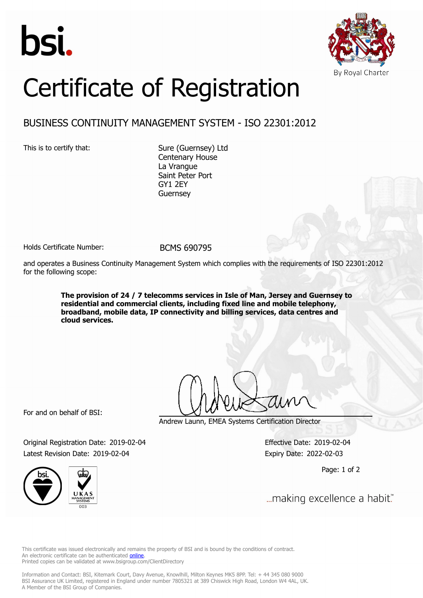



## Certificate of Registration

## BUSINESS CONTINUITY MANAGEMENT SYSTEM - ISO 22301:2012

This is to certify that: Sure (Guernsey) Ltd Centenary House La Vrangue Saint Peter Port GY1 2EY Guernsey

Holds Certificate Number: BCMS 690795

and operates a Business Continuity Management System which complies with the requirements of ISO 22301:2012 for the following scope:

> **The provision of 24 / 7 telecomms services in Isle of Man, Jersey and Guernsey to residential and commercial clients, including fixed line and mobile telephony, broadband, mobile data, IP connectivity and billing services, data centres and cloud services.**

For and on behalf of BSI:

Andrew Launn, EMEA Systems Certification Director

Original Registration Date: 2019-02-04 Effective Date: 2019-02-04 Latest Revision Date: 2019-02-04 Expiry Date: 2022-02-03

Page: 1 of 2



... making excellence a habit."

This certificate was issued electronically and remains the property of BSI and is bound by the conditions of contract. An electronic certificate can be authenticated **[online](https://pgplus.bsigroup.com/CertificateValidation/CertificateValidator.aspx?CertificateNumber=BCMS+690795&ReIssueDate=04%2f02%2f2019&Template=uk)**. Printed copies can be validated at www.bsigroup.com/ClientDirectory

Information and Contact: BSI, Kitemark Court, Davy Avenue, Knowlhill, Milton Keynes MK5 8PP. Tel: + 44 345 080 9000 BSI Assurance UK Limited, registered in England under number 7805321 at 389 Chiswick High Road, London W4 4AL, UK. A Member of the BSI Group of Companies.